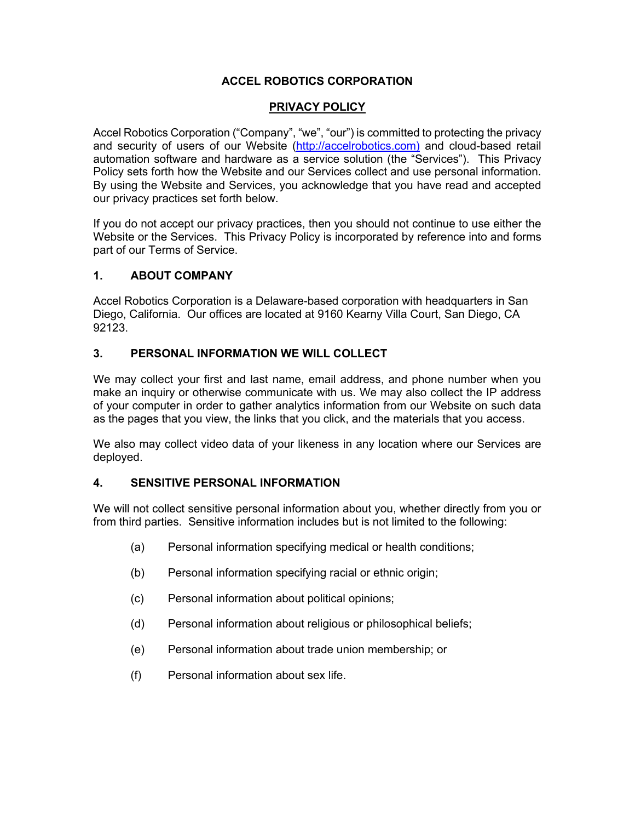### **ACCEL ROBOTICS CORPORATION**

### **PRIVACY POLICY**

Accel Robotics Corporation ("Company", "we", "our") is committed to protecting the privacy and security of users of our Website (http://accelrobotics.com) and cloud-based retail automation software and hardware as a service solution (the "Services"). This Privacy Policy sets forth how the Website and our Services collect and use personal information. By using the Website and Services, you acknowledge that you have read and accepted our privacy practices set forth below.

If you do not accept our privacy practices, then you should not continue to use either the Website or the Services. This Privacy Policy is incorporated by reference into and forms part of our Terms of Service.

#### **1. ABOUT COMPANY**

Accel Robotics Corporation is a Delaware-based corporation with headquarters in San Diego, California. Our offices are located at 9160 Kearny Villa Court, San Diego, CA 92123.

### **3. PERSONAL INFORMATION WE WILL COLLECT**

We may collect your first and last name, email address, and phone number when you make an inquiry or otherwise communicate with us. We may also collect the IP address of your computer in order to gather analytics information from our Website on such data as the pages that you view, the links that you click, and the materials that you access.

We also may collect video data of your likeness in any location where our Services are deployed.

### **4. SENSITIVE PERSONAL INFORMATION**

We will not collect sensitive personal information about you, whether directly from you or from third parties. Sensitive information includes but is not limited to the following:

- (a) Personal information specifying medical or health conditions;
- (b) Personal information specifying racial or ethnic origin;
- (c) Personal information about political opinions;
- (d) Personal information about religious or philosophical beliefs;
- (e) Personal information about trade union membership; or
- (f) Personal information about sex life.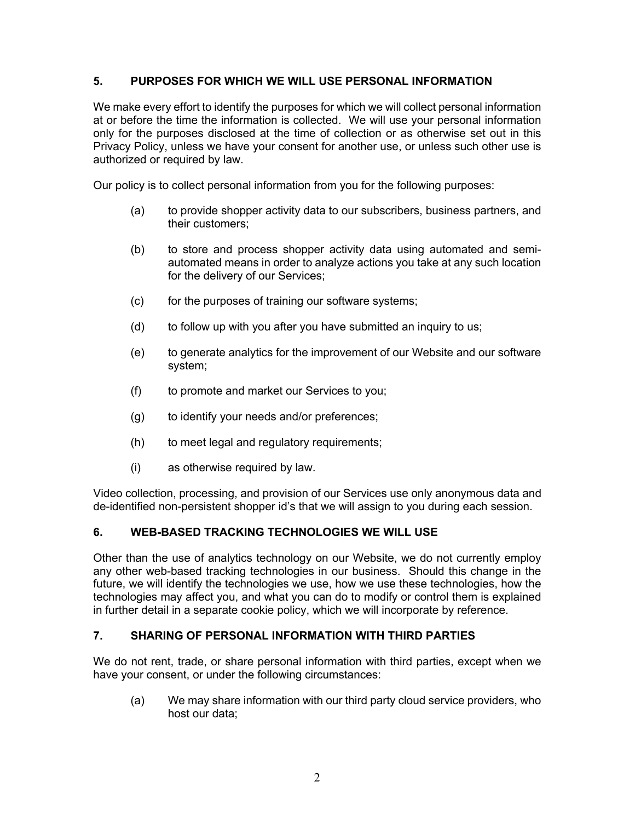### **5. PURPOSES FOR WHICH WE WILL USE PERSONAL INFORMATION**

We make every effort to identify the purposes for which we will collect personal information at or before the time the information is collected. We will use your personal information only for the purposes disclosed at the time of collection or as otherwise set out in this Privacy Policy, unless we have your consent for another use, or unless such other use is authorized or required by law.

Our policy is to collect personal information from you for the following purposes:

- (a) to provide shopper activity data to our subscribers, business partners, and their customers;
- (b) to store and process shopper activity data using automated and semiautomated means in order to analyze actions you take at any such location for the delivery of our Services;
- (c) for the purposes of training our software systems;
- (d) to follow up with you after you have submitted an inquiry to us;
- (e) to generate analytics for the improvement of our Website and our software system;
- (f) to promote and market our Services to you;
- (g) to identify your needs and/or preferences;
- (h) to meet legal and regulatory requirements;
- (i) as otherwise required by law.

Video collection, processing, and provision of our Services use only anonymous data and de-identified non-persistent shopper id's that we will assign to you during each session.

### **6. WEB-BASED TRACKING TECHNOLOGIES WE WILL USE**

Other than the use of analytics technology on our Website, we do not currently employ any other web-based tracking technologies in our business. Should this change in the future, we will identify the technologies we use, how we use these technologies, how the technologies may affect you, and what you can do to modify or control them is explained in further detail in a separate cookie policy, which we will incorporate by reference.

## **7. SHARING OF PERSONAL INFORMATION WITH THIRD PARTIES**

We do not rent, trade, or share personal information with third parties, except when we have your consent, or under the following circumstances:

(a) We may share information with our third party cloud service providers, who host our data;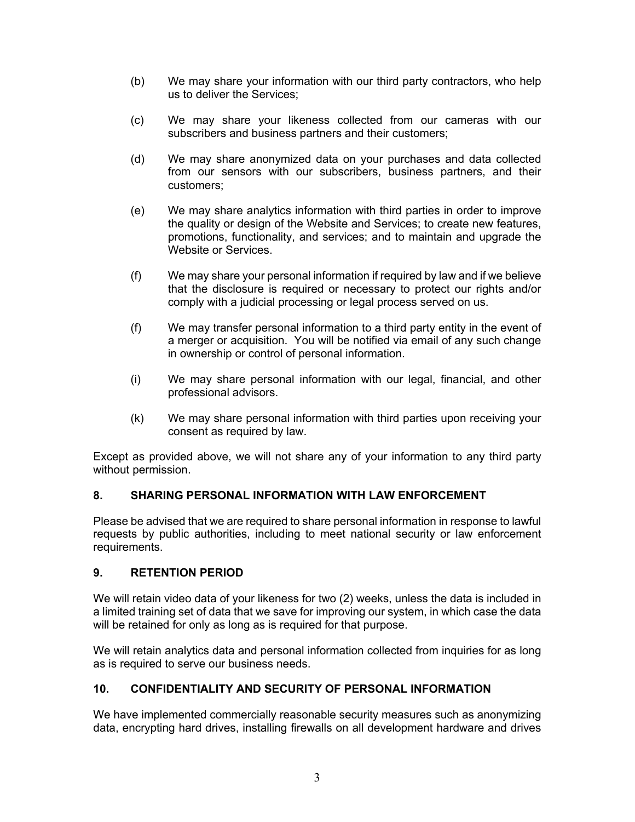- (b) We may share your information with our third party contractors, who help us to deliver the Services;
- (c) We may share your likeness collected from our cameras with our subscribers and business partners and their customers;
- (d) We may share anonymized data on your purchases and data collected from our sensors with our subscribers, business partners, and their customers;
- (e) We may share analytics information with third parties in order to improve the quality or design of the Website and Services; to create new features, promotions, functionality, and services; and to maintain and upgrade the Website or Services.
- (f) We may share your personal information if required by law and if we believe that the disclosure is required or necessary to protect our rights and/or comply with a judicial processing or legal process served on us.
- (f) We may transfer personal information to a third party entity in the event of a merger or acquisition. You will be notified via email of any such change in ownership or control of personal information.
- (i) We may share personal information with our legal, financial, and other professional advisors.
- (k) We may share personal information with third parties upon receiving your consent as required by law.

Except as provided above, we will not share any of your information to any third party without permission.

## **8. SHARING PERSONAL INFORMATION WITH LAW ENFORCEMENT**

Please be advised that we are required to share personal information in response to lawful requests by public authorities, including to meet national security or law enforcement requirements.

### **9. RETENTION PERIOD**

We will retain video data of your likeness for two (2) weeks, unless the data is included in a limited training set of data that we save for improving our system, in which case the data will be retained for only as long as is required for that purpose.

We will retain analytics data and personal information collected from inquiries for as long as is required to serve our business needs.

### **10. CONFIDENTIALITY AND SECURITY OF PERSONAL INFORMATION**

We have implemented commercially reasonable security measures such as anonymizing data, encrypting hard drives, installing firewalls on all development hardware and drives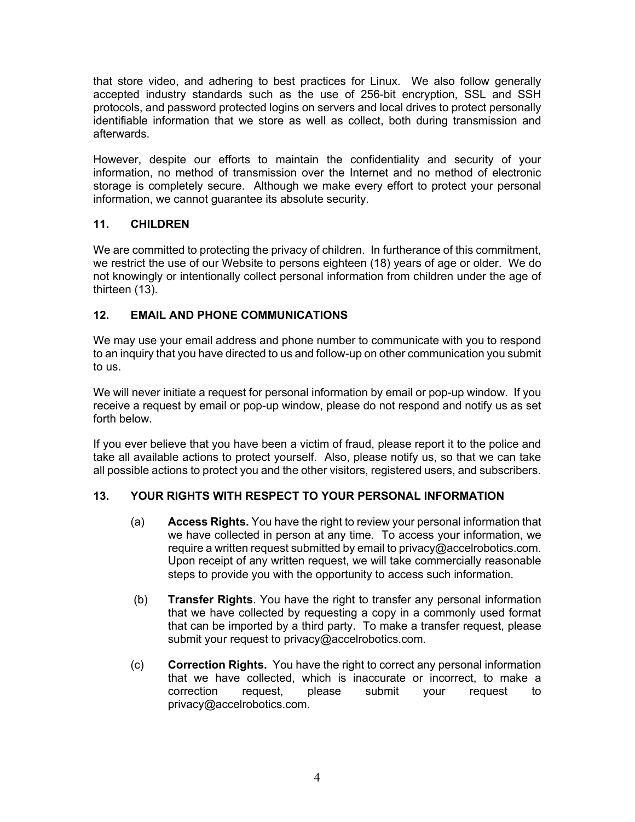that store video, and adhering to best practices for Linux. We also follow generally accepted industry standards such as the use of 256-bit encryption, SSL and SSH protocols, and password protected logins on servers and local drives to protect personally identifiable information that we store as well as collect, both during transmission and afterwards.

However, despite our efforts to maintain the confidentiality and security of your information, no method of transmission over the Internet and no method of electronic storage is completely secure. Although we make every effort to protect your personal information, we cannot guarantee its absolute security.

## **11. CHILDREN**

We are committed to protecting the privacy of children. In furtherance of this commitment, we restrict the use of our Website to persons eighteen (18) years of age or older. We do not knowingly or intentionally collect personal information from children under the age of thirteen (13).

## **12. EMAIL AND PHONE COMMUNICATIONS**

We may use your email address and phone number to communicate with you to respond to an inquiry that you have directed to us and follow-up on other communication you submit to us.

We will never initiate a request for personal information by email or pop-up window. If you receive a request by email or pop-up window, please do not respond and notify us as set forth below.

If you ever believe that you have been a victim of fraud, please report it to the police and take all available actions to protect yourself. Also, please notify us, so that we can take all possible actions to protect you and the other visitors, registered users, and subscribers.

# **13. YOUR RIGHTS WITH RESPECT TO YOUR PERSONAL INFORMATION**

- (a) **Access Rights.** You have the right to review your personal information that we have collected in person at any time. To access your information, we require a written request submitted by email to privacy@accelrobotics.com. Upon receipt of any written request, we will take commercially reasonable steps to provide you with the opportunity to access such information.
- (b) **Transfer Rights**. You have the right to transfer any personal information that we have collected by requesting a copy in a commonly used format that can be imported by a third party. To make a transfer request, please submit your request to privacy@accelrobotics.com.
- (c) **Correction Rights.** You have the right to correct any personal information that we have collected, which is inaccurate or incorrect, to make a correction request, please submit your request to privacy@accelrobotics.com.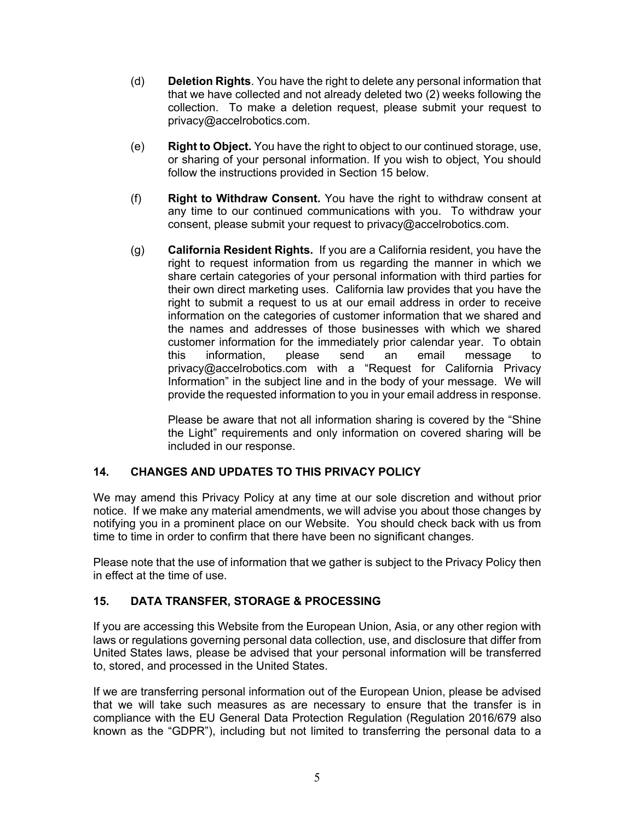- (d) **Deletion Rights**. You have the right to delete any personal information that that we have collected and not already deleted two (2) weeks following the collection. To make a deletion request, please submit your request to privacy@accelrobotics.com.
- (e) **Right to Object.** You have the right to object to our continued storage, use, or sharing of your personal information. If you wish to object, You should follow the instructions provided in Section 15 below.
- (f) **Right to Withdraw Consent.** You have the right to withdraw consent at any time to our continued communications with you. To withdraw your consent, please submit your request to privacy@accelrobotics.com.
- (g) **California Resident Rights.** If you are a California resident, you have the right to request information from us regarding the manner in which we share certain categories of your personal information with third parties for their own direct marketing uses. California law provides that you have the right to submit a request to us at our email address in order to receive information on the categories of customer information that we shared and the names and addresses of those businesses with which we shared customer information for the immediately prior calendar year. To obtain this information, please send an email message to privacy@accelrobotics.com with a "Request for California Privacy Information" in the subject line and in the body of your message. We will provide the requested information to you in your email address in response.

Please be aware that not all information sharing is covered by the "Shine the Light" requirements and only information on covered sharing will be included in our response.

### **14. CHANGES AND UPDATES TO THIS PRIVACY POLICY**

We may amend this Privacy Policy at any time at our sole discretion and without prior notice. If we make any material amendments, we will advise you about those changes by notifying you in a prominent place on our Website. You should check back with us from time to time in order to confirm that there have been no significant changes.

Please note that the use of information that we gather is subject to the Privacy Policy then in effect at the time of use.

## **15. DATA TRANSFER, STORAGE & PROCESSING**

If you are accessing this Website from the European Union, Asia, or any other region with laws or regulations governing personal data collection, use, and disclosure that differ from United States laws, please be advised that your personal information will be transferred to, stored, and processed in the United States.

If we are transferring personal information out of the European Union, please be advised that we will take such measures as are necessary to ensure that the transfer is in compliance with the EU General Data Protection Regulation (Regulation 2016/679 also known as the "GDPR"), including but not limited to transferring the personal data to a